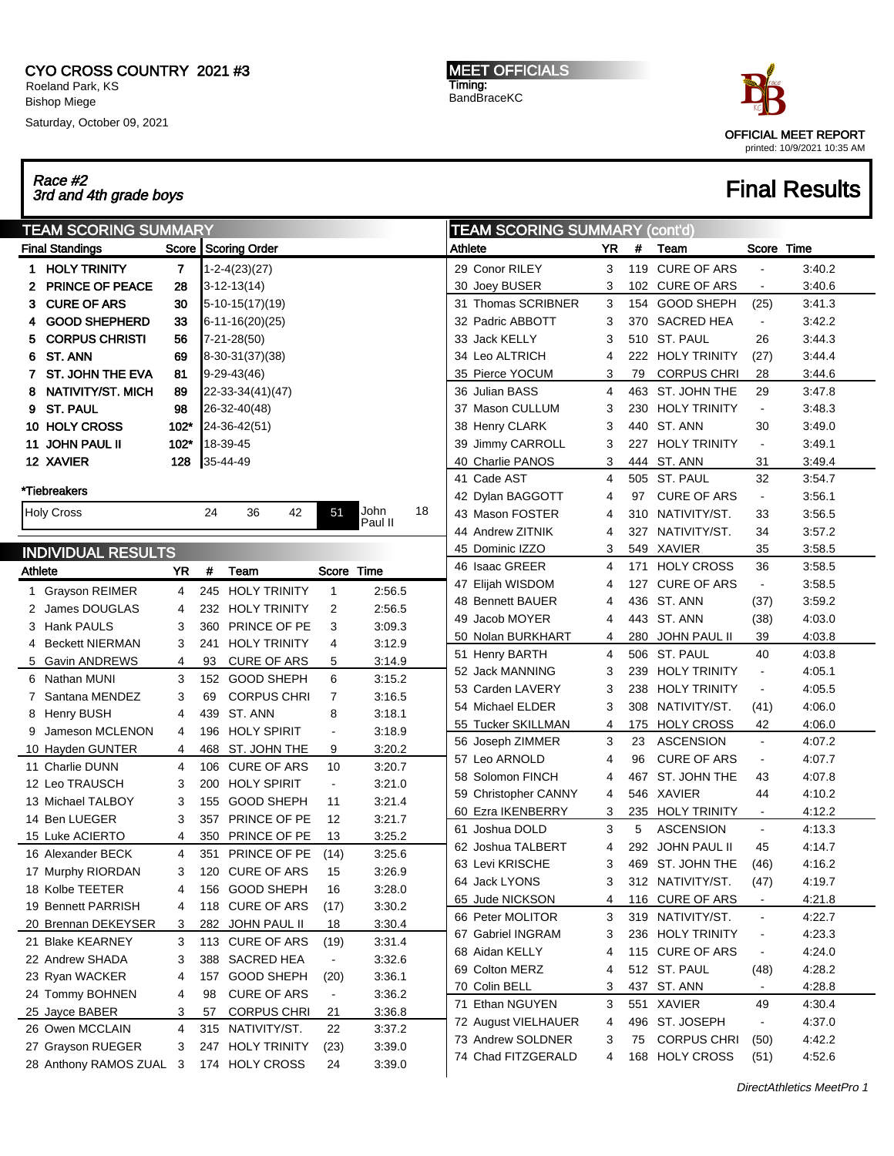## CYO CROSS COUNTRY 2021 #3 Roeland Park, KS Bishop Miege

Saturday, October 09, 2021

MEET OFFICIALS Timing: BandBraceKC



## Race #2 3rd and 4th grade boys Final Results

| <b>TEAM SCORING SUMMARY</b> |                         |                |     |                     |                |                 |    | <b>TEAM SCORING SUMMARY (cont'd)</b> |           |     |                     |                |        |
|-----------------------------|-------------------------|----------------|-----|---------------------|----------------|-----------------|----|--------------------------------------|-----------|-----|---------------------|----------------|--------|
|                             | <b>Final Standings</b>  |                |     | Score Scoring Order |                |                 |    | Athlete                              | <b>YR</b> | #   | Team                | Score Time     |        |
|                             | 1 HOLY TRINITY          | $\overline{7}$ |     | $1 - 2 - 4(23)(27)$ |                |                 |    | 29 Conor RILEY                       | 3         |     | 119 CURE OF ARS     | $\blacksquare$ | 3:40.2 |
| $\mathbf{2}$                | <b>PRINCE OF PEACE</b>  | 28             |     | $3-12-13(14)$       |                |                 |    | 30 Joey BUSER                        | 3         |     | 102 CURE OF ARS     | $\blacksquare$ | 3:40.6 |
| 3.                          | <b>CURE OF ARS</b>      | 30             |     | $5-10-15(17)(19)$   |                |                 |    | 31 Thomas SCRIBNER                   | 3         |     | 154 GOOD SHEPH      | (25)           | 3.41.3 |
| 4                           | <b>GOOD SHEPHERD</b>    | 33             |     | $6-11-16(20)(25)$   |                |                 |    | 32 Padric ABBOTT                     | 3         | 370 | <b>SACRED HEA</b>   | $\blacksquare$ | 3.42.2 |
| 5                           | <b>CORPUS CHRISTI</b>   | 56             |     | 7-21-28(50)         |                |                 |    | 33 Jack KELLY                        | 3         |     | 510 ST. PAUL        | 26             | 3.44.3 |
| 6                           | ST. ANN                 | 69             |     | 8-30-31(37)(38)     |                |                 |    | 34 Leo ALTRICH                       | 4         |     | 222 HOLY TRINITY    | (27)           | 3:44.4 |
| 7.                          | <b>ST. JOHN THE EVA</b> | 81             |     | 9-29-43(46)         |                |                 |    | 35 Pierce YOCUM                      | 3         | 79  | <b>CORPUS CHRI</b>  | 28             | 3:44.6 |
| 8                           | NATIVITY/ST. MICH       | 89             |     | 22-33-34(41)(47)    |                |                 |    | 36 Julian BASS                       | 4         | 463 | ST. JOHN THE        | 29             | 3.47.8 |
| 9                           | <b>ST. PAUL</b>         | 98             |     | 26-32-40(48)        |                |                 |    | 37 Mason CULLUM                      | 3         |     | 230 HOLY TRINITY    | $\blacksquare$ | 3:48.3 |
|                             | 10 HOLY CROSS           | $102*$         |     | 24-36-42(51)        |                |                 |    | 38 Henry CLARK                       | 3         | 440 | ST. ANN             | 30             | 3:49.0 |
|                             | 11 JOHN PAUL II         | 102"           |     | 18-39-45            |                |                 |    | 39 Jimmy CARROLL                     | 3         |     | 227 HOLY TRINITY    | $\blacksquare$ | 3:49.1 |
|                             | <b>12 XAVIER</b>        | 128            |     | 35-44-49            |                |                 |    | 40 Charlie PANOS                     | 3         |     | 444 ST. ANN         | 31             | 3:49.4 |
|                             |                         |                |     |                     |                |                 |    | 41 Cade AST                          | 4         |     | 505 ST. PAUL        | 32             | 3:54.7 |
|                             | *Tiebreakers            |                |     |                     |                |                 |    | 42 Dylan BAGGOTT                     | 4         | 97  | <b>CURE OF ARS</b>  | $\blacksquare$ | 3:56.1 |
|                             | <b>Holy Cross</b>       |                | 24  | 42<br>36            | 51             | John<br>Paul II | 18 | 43 Mason FOSTER                      | 4         |     | 310 NATIVITY/ST.    | 33             | 3:56.5 |
|                             |                         |                |     |                     |                |                 |    | 44 Andrew ZITNIK                     | 4         |     | 327 NATIVITY/ST.    | 34             | 3:57.2 |
| <b>INDIVIDUAL RESULTS</b>   |                         |                |     |                     |                |                 |    | 45 Dominic IZZO                      | 3         |     | 549 XAVIER          | 35             | 3:58.5 |
| <b>Athlete</b>              |                         | YR.            | #   | Team                |                | Score Time      |    | 46 Isaac GREER                       | 4         |     | 171 HOLY CROSS      | 36             | 3:58.5 |
| $\mathbf{1}$                | Grayson REIMER          | 4              |     | 245 HOLY TRINITY    | 1              | 2:56.5          |    | 47 Elijah WISDOM                     | 4         |     | 127 CURE OF ARS     | $\blacksquare$ | 3:58.5 |
| 2                           | James DOUGLAS           | 4              |     | 232 HOLY TRINITY    | 2              | 2:56.5          |    | 48 Bennett BAUER                     | 4         | 436 | ST. ANN             | (37)           | 3:59.2 |
| 3                           | <b>Hank PAULS</b>       | 3              | 360 | PRINCE OF PE        | 3              | 3:09.3          |    | 49 Jacob MOYER                       | 4         |     | 443 ST. ANN         | (38)           | 4:03.0 |
| 4                           | <b>Beckett NIERMAN</b>  | 3              | 241 | <b>HOLY TRINITY</b> | 4              | 3:12.9          |    | 50 Nolan BURKHART                    | 4         |     | 280 JOHN PAUL II    | 39             | 4:03.8 |
| 5                           | <b>Gavin ANDREWS</b>    | 4              | 93  | <b>CURE OF ARS</b>  | 5              | 3:14.9          |    | 51 Henry BARTH                       | 4         | 506 | ST. PAUL            | 40             | 4:03.8 |
| 6                           | Nathan MUNI             | 3              | 152 | <b>GOOD SHEPH</b>   | 6              | 3:15.2          |    | 52 Jack MANNING                      | 3         | 239 | <b>HOLY TRINITY</b> | $\blacksquare$ | 4:05.1 |
| 7                           | Santana MENDEZ          | 3              | 69  | <b>CORPUS CHRI</b>  | $\overline{7}$ | 3:16.5          |    | 53 Carden LAVERY                     | 3         | 238 | <b>HOLY TRINITY</b> | $\blacksquare$ | 4:05.5 |
| 8                           | <b>Henry BUSH</b>       | 4              | 439 | ST. ANN             | 8              | 3:18.1          |    | 54 Michael ELDER                     | 3         | 308 | NATIVITY/ST.        | (41)           | 4:06.0 |
| 9                           | Jameson MCLENON         | 4              | 196 | <b>HOLY SPIRIT</b>  | $\blacksquare$ | 3:18.9          |    | 55 Tucker SKILLMAN                   | 4         | 175 | <b>HOLY CROSS</b>   | 42             | 4:06.0 |
|                             | 10 Hayden GUNTER        | 4              | 468 | ST. JOHN THE        | 9              | 3:20.2          |    | 56 Joseph ZIMMER                     | 3         | 23  | <b>ASCENSION</b>    | $\blacksquare$ | 4:07.2 |
|                             | 11 Charlie DUNN         | 4              | 106 | <b>CURE OF ARS</b>  | 10             | 3:20.7          |    | 57 Leo ARNOLD                        | 4         | 96  | <b>CURE OF ARS</b>  | $\blacksquare$ | 4:07.7 |
|                             | 12 Leo TRAUSCH          | 3              | 200 | <b>HOLY SPIRIT</b>  | $\blacksquare$ | 3:21.0          |    | 58 Solomon FINCH                     | 4         | 467 | ST. JOHN THE        | 43             | 4:07.8 |
|                             | 13 Michael TALBOY       | 3              | 155 | <b>GOOD SHEPH</b>   | 11             | 3:21.4          |    | 59 Christopher CANNY                 | 4         |     | 546 XAVIER          | 44             | 4:10.2 |
|                             | 14 Ben LUEGER           | 3              | 357 | PRINCE OF PE        | 12             | 3:21.7          |    | 60 Ezra IKENBERRY                    | 3         | 235 | <b>HOLY TRINITY</b> | $\blacksquare$ | 4:12.2 |
|                             | 15 Luke ACIERTO         | 4              | 350 | PRINCE OF PE        | 13             | 3:25.2          |    | 61 Joshua DOLD                       | 3         | 5   | <b>ASCENSION</b>    | $\blacksquare$ | 4.13.3 |
|                             | 16 Alexander BECK       | 4              | 351 | PRINCE OF PE        | (14)           | 3:25.6          |    | 62 Joshua TALBERT                    | 4         | 292 | <b>JOHN PAUL II</b> | 45             | 4.14.7 |
|                             | 17 Murphy RIORDAN       | 3              |     | 120 CURE OF ARS     | 15             | 3:26.9          |    | 63 Levi KRISCHE                      | 3         | 469 | ST. JOHN THE        | (46)           | 4:16.2 |
|                             | 18 Kolbe TEETER         | 4              |     | 156 GOOD SHEPH      | 16             | 3:28.0          |    | 64 Jack LYONS                        | 3         |     | 312 NATIVITY/ST.    | (47)           | 4:19.7 |
|                             | 19 Bennett PARRISH      | 4              | 118 | <b>CURE OF ARS</b>  | (17)           | 3:30.2          |    | 65 Jude NICKSON                      | 4         |     | 116 CURE OF ARS     | $\blacksquare$ | 4:21.8 |
|                             | 20 Brennan DEKEYSER     | 3              | 282 | JOHN PAUL II        | 18             | 3:30.4          |    | 66 Peter MOLITOR                     | 3         |     | 319 NATIVITY/ST.    | $\blacksquare$ | 4:22.7 |
|                             | 21 Blake KEARNEY        | 3              |     | 113 CURE OF ARS     | (19)           | 3:31.4          |    | 67 Gabriel INGRAM                    | 3         |     | 236 HOLY TRINITY    | $\blacksquare$ | 4:23.3 |
|                             | 22 Andrew SHADA         | 3              |     | 388 SACRED HEA      | $\blacksquare$ | 3:32.6          |    | 68 Aidan KELLY                       | 4         |     | 115 CURE OF ARS     | $\blacksquare$ | 4:24.0 |
|                             | 23 Ryan WACKER          | 4              | 157 | <b>GOOD SHEPH</b>   | (20)           | 3:36.1          |    | 69 Colton MERZ                       | 4         |     | 512 ST. PAUL        | (48)           | 4:28.2 |
|                             | 24 Tommy BOHNEN         | 4              | 98  | <b>CURE OF ARS</b>  | $\blacksquare$ | 3:36.2          |    | 70 Colin BELL                        | 3         |     | 437 ST. ANN         | $\blacksquare$ | 4:28.8 |
|                             | 25 Jayce BABER          | 3              | 57  | <b>CORPUS CHRI</b>  | 21             | 3:36.8          |    | 71 Ethan NGUYEN                      | 3         |     | 551 XAVIER          | 49             | 4:30.4 |
|                             | 26 Owen MCCLAIN         | 4              |     | 315 NATIVITY/ST.    | 22             | 3:37.2          |    | 72 August VIELHAUER                  | 4         |     | 496 ST. JOSEPH      | $\blacksquare$ | 4:37.0 |
|                             | 27 Grayson RUEGER       | 3              |     | 247 HOLY TRINITY    | (23)           | 3:39.0          |    | 73 Andrew SOLDNER                    | 3         | 75  | <b>CORPUS CHRI</b>  | (50)           | 4:42.2 |
|                             | 28 Anthony RAMOS ZUAL 3 |                |     | 174 HOLY CROSS      | 24             | 3:39.0          |    | 74 Chad FITZGERALD                   | 4         |     | 168 HOLY CROSS      | (51)           | 4:52.6 |
|                             |                         |                |     |                     |                |                 |    |                                      |           |     |                     |                |        |